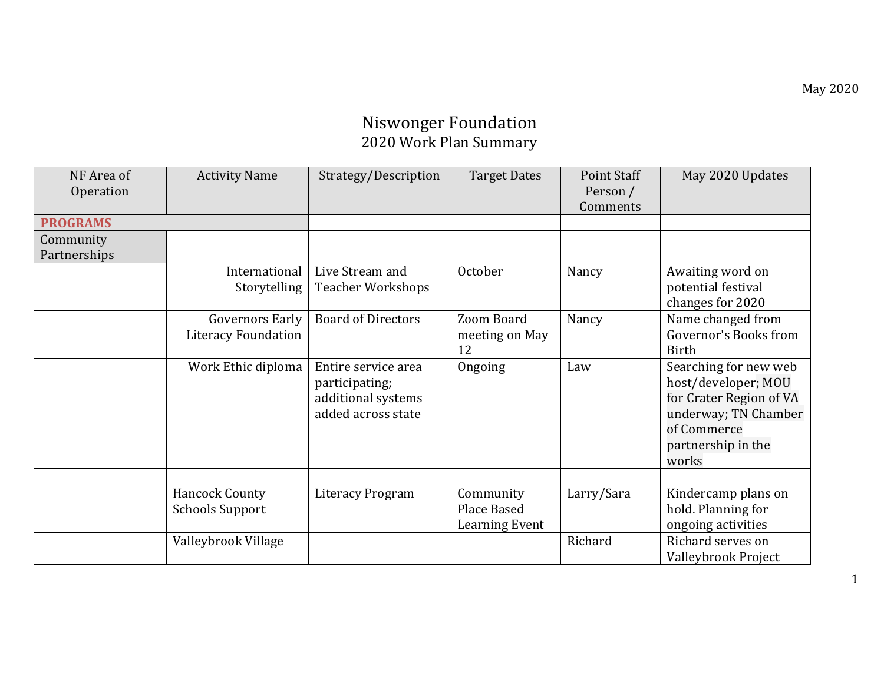## Niswonger Foundation 2020 Work Plan Summary

| NF Area of      | <b>Activity Name</b>       | Strategy/Description      | <b>Target Dates</b>   | Point Staff | May 2020 Updates        |
|-----------------|----------------------------|---------------------------|-----------------------|-------------|-------------------------|
| Operation       |                            |                           |                       | Person /    |                         |
|                 |                            |                           |                       | Comments    |                         |
| <b>PROGRAMS</b> |                            |                           |                       |             |                         |
| Community       |                            |                           |                       |             |                         |
| Partnerships    |                            |                           |                       |             |                         |
|                 | International              | Live Stream and           | October               | Nancy       | Awaiting word on        |
|                 | Storytelling               | <b>Teacher Workshops</b>  |                       |             | potential festival      |
|                 |                            |                           |                       |             | changes for 2020        |
|                 | <b>Governors Early</b>     | <b>Board of Directors</b> | Zoom Board            | Nancy       | Name changed from       |
|                 | <b>Literacy Foundation</b> |                           | meeting on May        |             | Governor's Books from   |
|                 |                            |                           | 12                    |             | Birth                   |
|                 | Work Ethic diploma         | Entire service area       | Ongoing               | Law         | Searching for new web   |
|                 |                            | participating;            |                       |             | host/developer; MOU     |
|                 |                            | additional systems        |                       |             | for Crater Region of VA |
|                 |                            | added across state        |                       |             | underway; TN Chamber    |
|                 |                            |                           |                       |             | of Commerce             |
|                 |                            |                           |                       |             | partnership in the      |
|                 |                            |                           |                       |             | works                   |
|                 |                            |                           |                       |             |                         |
|                 | <b>Hancock County</b>      | <b>Literacy Program</b>   | Community             | Larry/Sara  | Kindercamp plans on     |
|                 | <b>Schools Support</b>     |                           | Place Based           |             | hold. Planning for      |
|                 |                            |                           | <b>Learning Event</b> |             | ongoing activities      |
|                 |                            |                           |                       |             |                         |
|                 | Valleybrook Village        |                           |                       | Richard     | Richard serves on       |
|                 |                            |                           |                       |             | Valleybrook Project     |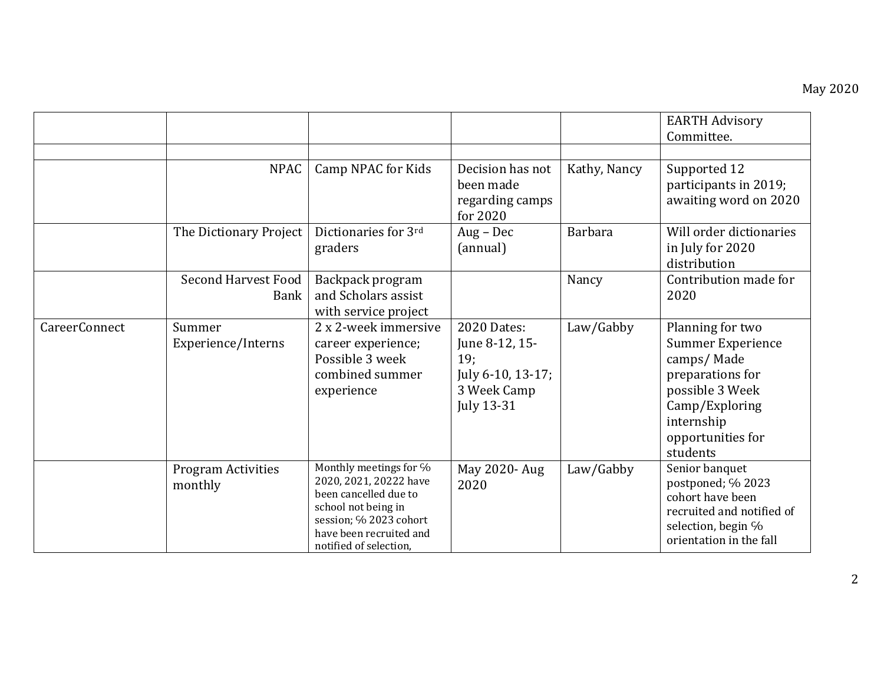|                      |                                           |                                                                                                                                                                                 |                                                                                        |                | <b>EARTH Advisory</b><br>Committee.                                                                                                                                |
|----------------------|-------------------------------------------|---------------------------------------------------------------------------------------------------------------------------------------------------------------------------------|----------------------------------------------------------------------------------------|----------------|--------------------------------------------------------------------------------------------------------------------------------------------------------------------|
|                      | <b>NPAC</b>                               | Camp NPAC for Kids                                                                                                                                                              | Decision has not<br>been made<br>regarding camps<br>for 2020                           | Kathy, Nancy   | Supported 12<br>participants in 2019;<br>awaiting word on 2020                                                                                                     |
|                      | The Dictionary Project                    | Dictionaries for 3rd<br>graders                                                                                                                                                 | $Aug - Dec$<br>(annual)                                                                | <b>Barbara</b> | Will order dictionaries<br>in July for 2020<br>distribution                                                                                                        |
|                      | <b>Second Harvest Food</b><br><b>Bank</b> | Backpack program<br>and Scholars assist<br>with service project                                                                                                                 |                                                                                        | Nancy          | Contribution made for<br>2020                                                                                                                                      |
| <b>CareerConnect</b> | Summer<br>Experience/Interns              | 2 x 2-week immersive<br>career experience;<br>Possible 3 week<br>combined summer<br>experience                                                                                  | 2020 Dates:<br>June 8-12, 15-<br>19:<br>July 6-10, 13-17;<br>3 Week Camp<br>July 13-31 | Law/Gabby      | Planning for two<br><b>Summer Experience</b><br>camps/Made<br>preparations for<br>possible 3 Week<br>Camp/Exploring<br>internship<br>opportunities for<br>students |
|                      | <b>Program Activities</b><br>monthly      | Monthly meetings for %<br>2020, 2021, 20222 have<br>been cancelled due to<br>school not being in<br>session; % 2023 cohort<br>have been recruited and<br>notified of selection, | May 2020- Aug<br>2020                                                                  | Law/Gabby      | Senior banquet<br>postponed; % 2023<br>cohort have been<br>recruited and notified of<br>selection, begin %<br>orientation in the fall                              |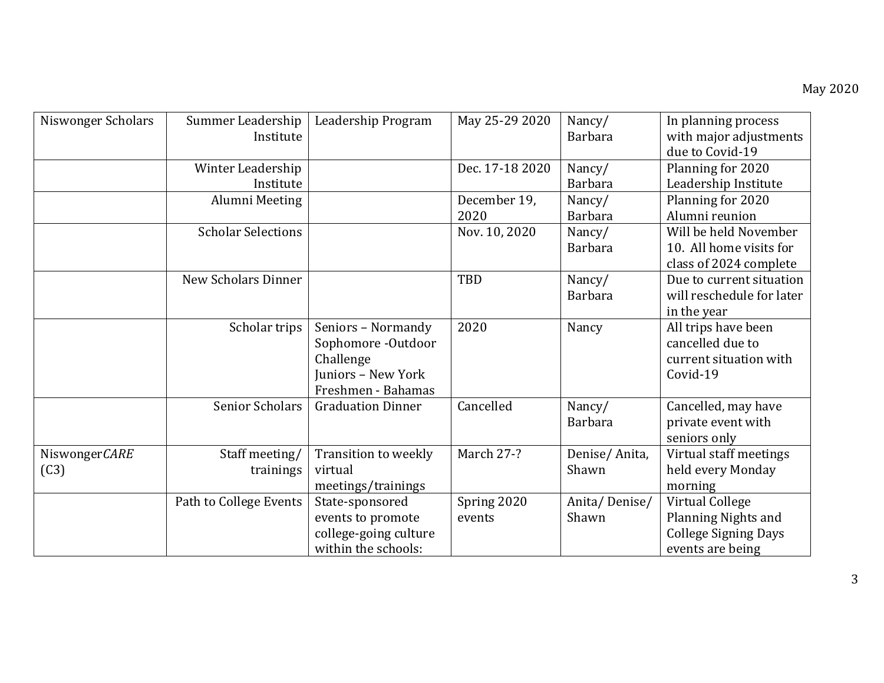| Niswonger Scholars    | Summer Leadership<br>Institute | Leadership Program                                                                                | May 25-29 2020        | Nancy/<br><b>Barbara</b> | In planning process<br>with major adjustments<br>due to Covid-19                          |
|-----------------------|--------------------------------|---------------------------------------------------------------------------------------------------|-----------------------|--------------------------|-------------------------------------------------------------------------------------------|
|                       | Winter Leadership<br>Institute |                                                                                                   | Dec. 17-18 2020       | Nancy/<br><b>Barbara</b> | Planning for 2020<br>Leadership Institute                                                 |
|                       | Alumni Meeting                 |                                                                                                   | December 19,<br>2020  | Nancy/<br><b>Barbara</b> | Planning for 2020<br>Alumni reunion                                                       |
|                       | <b>Scholar Selections</b>      |                                                                                                   | Nov. 10, 2020         | Nancy/<br><b>Barbara</b> | Will be held November<br>10. All home visits for<br>class of 2024 complete                |
|                       | New Scholars Dinner            |                                                                                                   | TBD                   | Nancy/<br><b>Barbara</b> | Due to current situation<br>will reschedule for later<br>in the year                      |
|                       | Scholar trips                  | Seniors - Normandy<br>Sophomore -Outdoor<br>Challenge<br>Juniors - New York<br>Freshmen - Bahamas | 2020                  | Nancy                    | All trips have been<br>cancelled due to<br>current situation with<br>Covid-19             |
|                       | Senior Scholars                | <b>Graduation Dinner</b>                                                                          | Cancelled             | Nancy/<br><b>Barbara</b> | Cancelled, may have<br>private event with<br>seniors only                                 |
| NiswongerCARE<br>(C3) | Staff meeting/<br>trainings    | Transition to weekly<br>virtual<br>meetings/trainings                                             | March 27-?            | Denise/Anita,<br>Shawn   | Virtual staff meetings<br>held every Monday<br>morning                                    |
|                       | Path to College Events         | State-sponsored<br>events to promote<br>college-going culture<br>within the schools:              | Spring 2020<br>events | Anita/Denise/<br>Shawn   | Virtual College<br>Planning Nights and<br><b>College Signing Days</b><br>events are being |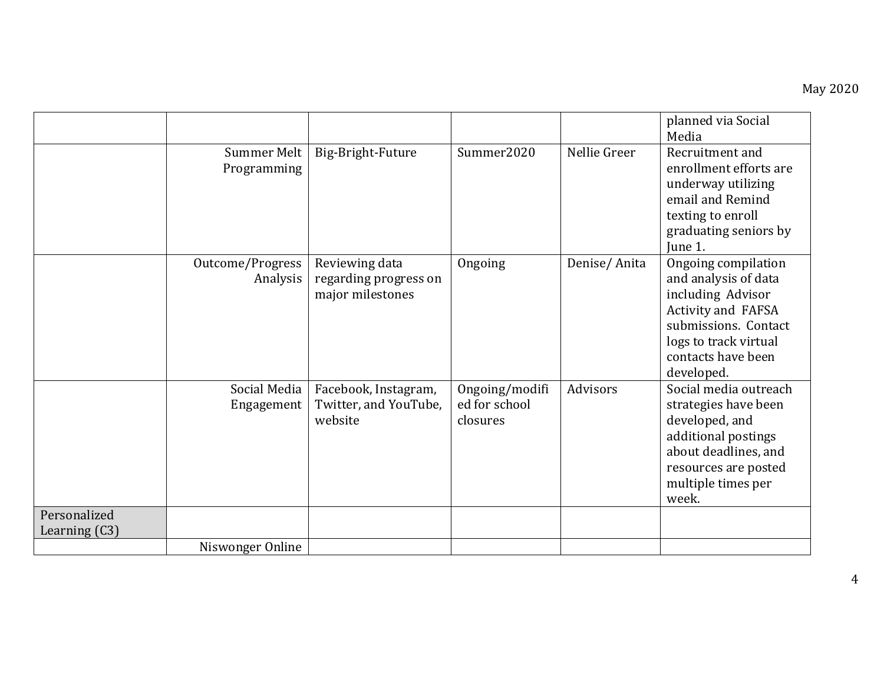|                               |                              |                                                             |                                             |              | planned via Social<br>Media                                                                                                                                                 |
|-------------------------------|------------------------------|-------------------------------------------------------------|---------------------------------------------|--------------|-----------------------------------------------------------------------------------------------------------------------------------------------------------------------------|
|                               | Summer Melt<br>Programming   | Big-Bright-Future                                           | Summer2020                                  | Nellie Greer | Recruitment and<br>enrollment efforts are<br>underway utilizing<br>email and Remind<br>texting to enroll<br>graduating seniors by<br>June 1.                                |
|                               | Outcome/Progress<br>Analysis | Reviewing data<br>regarding progress on<br>major milestones | Ongoing                                     | Denise/Anita | Ongoing compilation<br>and analysis of data<br>including Advisor<br>Activity and FAFSA<br>submissions. Contact<br>logs to track virtual<br>contacts have been<br>developed. |
|                               | Social Media<br>Engagement   | Facebook, Instagram,<br>Twitter, and YouTube,<br>website    | Ongoing/modifi<br>ed for school<br>closures | Advisors     | Social media outreach<br>strategies have been<br>developed, and<br>additional postings<br>about deadlines, and<br>resources are posted<br>multiple times per<br>week.       |
| Personalized<br>Learning (C3) |                              |                                                             |                                             |              |                                                                                                                                                                             |
|                               | Niswonger Online             |                                                             |                                             |              |                                                                                                                                                                             |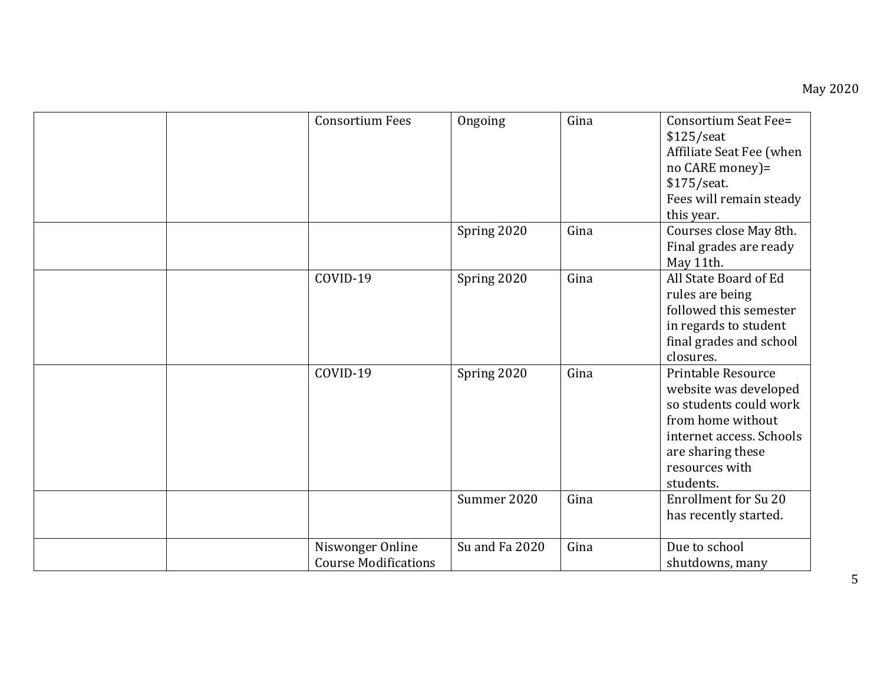| <b>Consortium Fees</b>                          | Ongoing        | Gina | Consortium Seat Fee=<br>$$125/$ seat<br>Affiliate Seat Fee (when<br>no CARE money)=<br>\$175/seat.<br>Fees will remain steady<br>this year.                                |
|-------------------------------------------------|----------------|------|----------------------------------------------------------------------------------------------------------------------------------------------------------------------------|
|                                                 | Spring 2020    | Gina | Courses close May 8th.<br>Final grades are ready<br>May 11th.                                                                                                              |
| COVID-19                                        | Spring 2020    | Gina | All State Board of Ed<br>rules are being<br>followed this semester<br>in regards to student<br>final grades and school<br>closures.                                        |
| COVID-19                                        | Spring 2020    | Gina | Printable Resource<br>website was developed<br>so students could work<br>from home without<br>internet access. Schools<br>are sharing these<br>resources with<br>students. |
|                                                 | Summer 2020    | Gina | <b>Enrollment for Su 20</b><br>has recently started.                                                                                                                       |
| Niswonger Online<br><b>Course Modifications</b> | Su and Fa 2020 | Gina | Due to school<br>shutdowns, many                                                                                                                                           |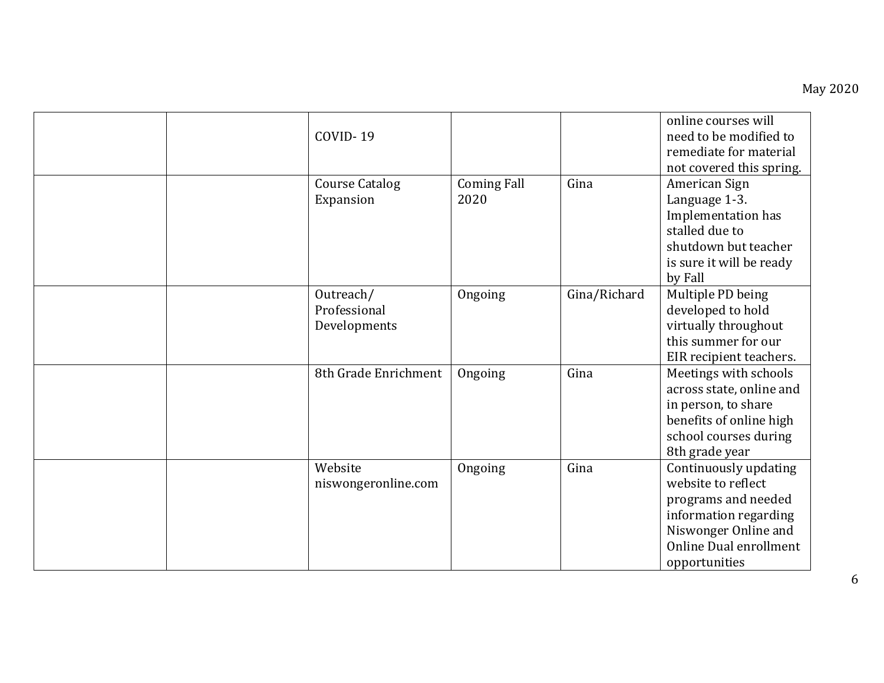|  | COVID-19                                  |                            |              | online courses will<br>need to be modified to<br>remediate for material<br>not covered this spring.                                                            |
|--|-------------------------------------------|----------------------------|--------------|----------------------------------------------------------------------------------------------------------------------------------------------------------------|
|  | <b>Course Catalog</b><br>Expansion        | <b>Coming Fall</b><br>2020 | Gina         | American Sign<br>Language 1-3.<br>Implementation has<br>stalled due to<br>shutdown but teacher<br>is sure it will be ready<br>by Fall                          |
|  | Outreach/<br>Professional<br>Developments | Ongoing                    | Gina/Richard | Multiple PD being<br>developed to hold<br>virtually throughout<br>this summer for our<br>EIR recipient teachers.                                               |
|  | 8th Grade Enrichment                      | Ongoing                    | Gina         | Meetings with schools<br>across state, online and<br>in person, to share<br>benefits of online high<br>school courses during<br>8th grade year                 |
|  | Website<br>niswongeronline.com            | Ongoing                    | Gina         | Continuously updating<br>website to reflect<br>programs and needed<br>information regarding<br>Niswonger Online and<br>Online Dual enrollment<br>opportunities |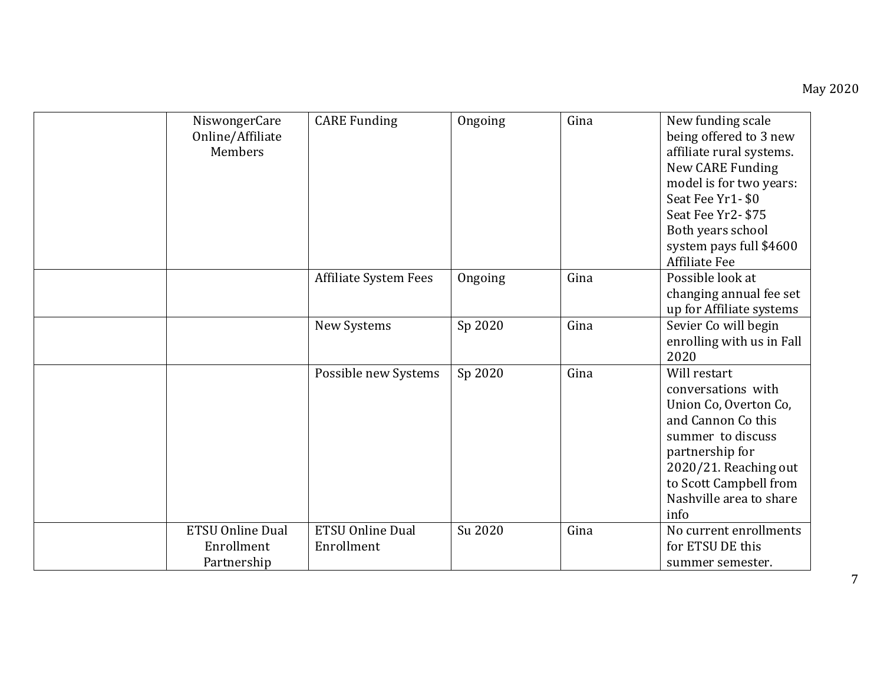| NiswongerCare<br>Online/Affiliate<br>Members         | <b>CARE Funding</b>                   | Ongoing | Gina | New funding scale<br>being offered to 3 new<br>affiliate rural systems.<br>New CARE Funding<br>model is for two years:<br>Seat Fee Yr1-\$0<br>Seat Fee Yr2-\$75<br>Both years school<br>system pays full \$4600<br><b>Affiliate Fee</b> |
|------------------------------------------------------|---------------------------------------|---------|------|-----------------------------------------------------------------------------------------------------------------------------------------------------------------------------------------------------------------------------------------|
|                                                      | Affiliate System Fees                 | Ongoing | Gina | Possible look at<br>changing annual fee set<br>up for Affiliate systems                                                                                                                                                                 |
|                                                      | New Systems                           | Sp 2020 | Gina | Sevier Co will begin<br>enrolling with us in Fall<br>2020                                                                                                                                                                               |
|                                                      | Possible new Systems                  | Sp 2020 | Gina | Will restart<br>conversations with<br>Union Co, Overton Co,<br>and Cannon Co this<br>summer to discuss<br>partnership for<br>2020/21. Reaching out<br>to Scott Campbell from<br>Nashville area to share<br>info                         |
| <b>ETSU Online Dual</b><br>Enrollment<br>Partnership | <b>ETSU Online Dual</b><br>Enrollment | Su 2020 | Gina | No current enrollments<br>for ETSU DE this<br>summer semester.                                                                                                                                                                          |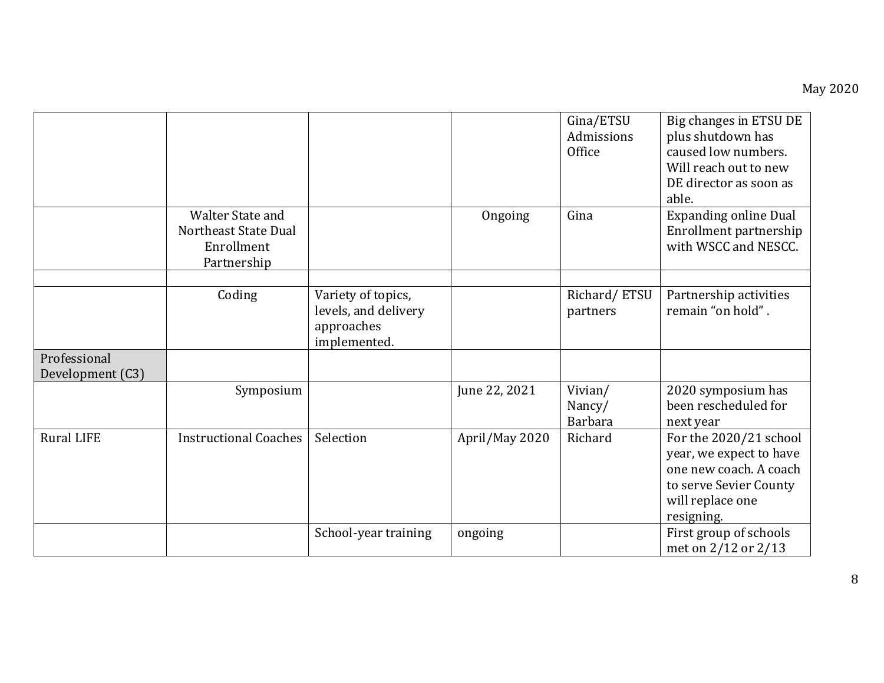|                                  |                                                                       |                                                                          |                | Gina/ETSU<br>Admissions<br>Office   | Big changes in ETSU DE<br>plus shutdown has<br>caused low numbers.<br>Will reach out to new<br>DE director as soon as<br>able.          |
|----------------------------------|-----------------------------------------------------------------------|--------------------------------------------------------------------------|----------------|-------------------------------------|-----------------------------------------------------------------------------------------------------------------------------------------|
|                                  | Walter State and<br>Northeast State Dual<br>Enrollment<br>Partnership |                                                                          | Ongoing        | Gina                                | <b>Expanding online Dual</b><br>Enrollment partnership<br>with WSCC and NESCC.                                                          |
|                                  | Coding                                                                | Variety of topics,<br>levels, and delivery<br>approaches<br>implemented. |                | Richard/ETSU<br>partners            | Partnership activities<br>remain "on hold".                                                                                             |
| Professional<br>Development (C3) |                                                                       |                                                                          |                |                                     |                                                                                                                                         |
|                                  | Symposium                                                             |                                                                          | June 22, 2021  | Vivian/<br>Nancy/<br><b>Barbara</b> | 2020 symposium has<br>been rescheduled for<br>next year                                                                                 |
| <b>Rural LIFE</b>                | <b>Instructional Coaches</b>                                          | Selection                                                                | April/May 2020 | Richard                             | For the 2020/21 school<br>year, we expect to have<br>one new coach. A coach<br>to serve Sevier County<br>will replace one<br>resigning. |
|                                  |                                                                       | School-year training                                                     | ongoing        |                                     | First group of schools<br>met on 2/12 or 2/13                                                                                           |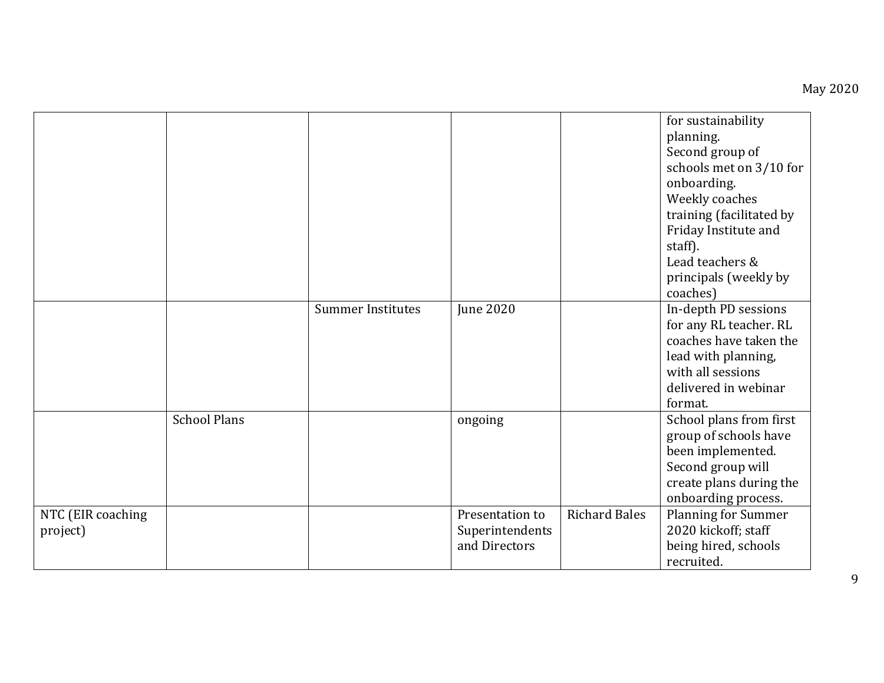|                   |                     |                          |                 |                      | for sustainability         |
|-------------------|---------------------|--------------------------|-----------------|----------------------|----------------------------|
|                   |                     |                          |                 |                      | planning.                  |
|                   |                     |                          |                 |                      | Second group of            |
|                   |                     |                          |                 |                      | schools met on 3/10 for    |
|                   |                     |                          |                 |                      | onboarding.                |
|                   |                     |                          |                 |                      | Weekly coaches             |
|                   |                     |                          |                 |                      | training (facilitated by   |
|                   |                     |                          |                 |                      | Friday Institute and       |
|                   |                     |                          |                 |                      | staff).                    |
|                   |                     |                          |                 |                      | Lead teachers &            |
|                   |                     |                          |                 |                      | principals (weekly by      |
|                   |                     |                          |                 |                      | coaches)                   |
|                   |                     | <b>Summer Institutes</b> | June 2020       |                      | In-depth PD sessions       |
|                   |                     |                          |                 |                      | for any RL teacher. RL     |
|                   |                     |                          |                 |                      | coaches have taken the     |
|                   |                     |                          |                 |                      | lead with planning,        |
|                   |                     |                          |                 |                      | with all sessions          |
|                   |                     |                          |                 |                      | delivered in webinar       |
|                   |                     |                          |                 |                      | format.                    |
|                   | <b>School Plans</b> |                          | ongoing         |                      | School plans from first    |
|                   |                     |                          |                 |                      | group of schools have      |
|                   |                     |                          |                 |                      | been implemented.          |
|                   |                     |                          |                 |                      | Second group will          |
|                   |                     |                          |                 |                      | create plans during the    |
|                   |                     |                          |                 |                      | onboarding process.        |
| NTC (EIR coaching |                     |                          | Presentation to | <b>Richard Bales</b> | <b>Planning for Summer</b> |
| project)          |                     |                          | Superintendents |                      | 2020 kickoff; staff        |
|                   |                     |                          | and Directors   |                      | being hired, schools       |
|                   |                     |                          |                 |                      | recruited.                 |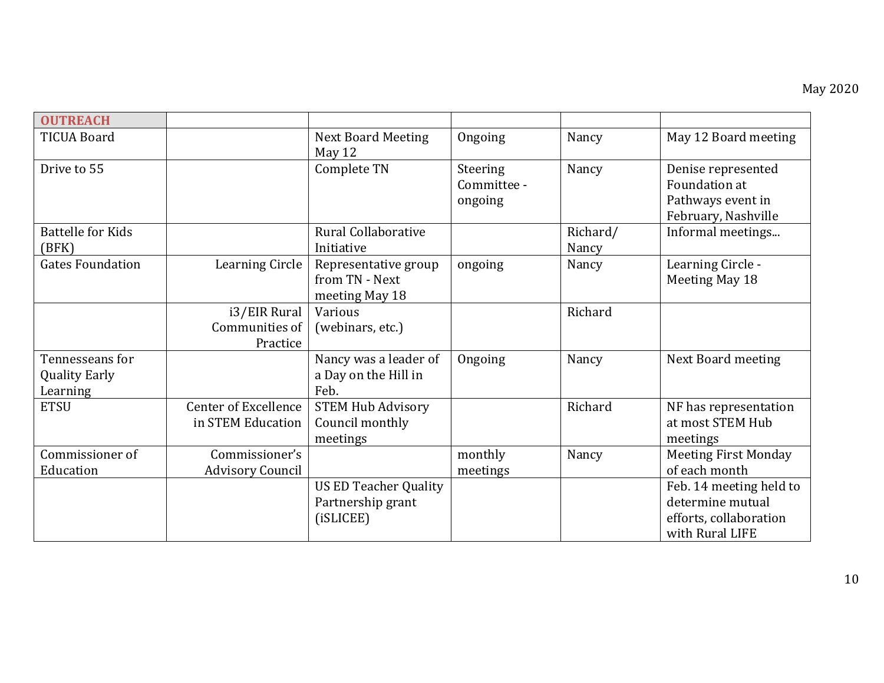| <b>OUTREACH</b>                                     |                                                  |                                                                |                                    |                   |                                                                                          |
|-----------------------------------------------------|--------------------------------------------------|----------------------------------------------------------------|------------------------------------|-------------------|------------------------------------------------------------------------------------------|
| <b>TICUA Board</b>                                  |                                                  | <b>Next Board Meeting</b><br>May 12                            | Ongoing                            | Nancy             | May 12 Board meeting                                                                     |
| Drive to 55                                         |                                                  | Complete TN                                                    | Steering<br>Committee -<br>ongoing | Nancy             | Denise represented<br>Foundation at<br>Pathways event in<br>February, Nashville          |
| <b>Battelle for Kids</b><br>(BFK)                   |                                                  | Rural Collaborative<br>Initiative                              |                                    | Richard/<br>Nancy | Informal meetings                                                                        |
| <b>Gates Foundation</b>                             | Learning Circle                                  | Representative group<br>from TN - Next<br>meeting May 18       | ongoing                            | Nancy             | Learning Circle -<br>Meeting May 18                                                      |
|                                                     | i3/EIR Rural<br>Communities of<br>Practice       | Various<br>(webinars, etc.)                                    |                                    | Richard           |                                                                                          |
| Tennesseans for<br><b>Quality Early</b><br>Learning |                                                  | Nancy was a leader of<br>a Day on the Hill in<br>Feb.          | Ongoing                            | Nancy             | Next Board meeting                                                                       |
| <b>ETSU</b>                                         | <b>Center of Excellence</b><br>in STEM Education | <b>STEM Hub Advisory</b><br>Council monthly<br>meetings        |                                    | Richard           | NF has representation<br>at most STEM Hub<br>meetings                                    |
| Commissioner of<br>Education                        | Commissioner's<br><b>Advisory Council</b>        |                                                                | monthly<br>meetings                | Nancy             | <b>Meeting First Monday</b><br>of each month                                             |
|                                                     |                                                  | <b>US ED Teacher Quality</b><br>Partnership grant<br>(iSLICEE) |                                    |                   | Feb. 14 meeting held to<br>determine mutual<br>efforts, collaboration<br>with Rural LIFE |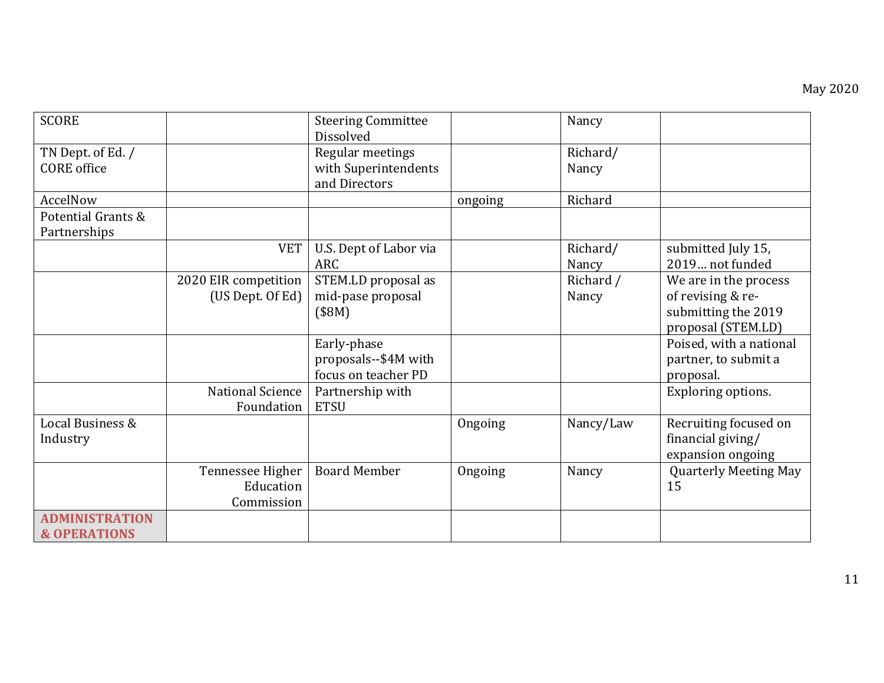| <b>SCORE</b>            |                      | <b>Steering Committee</b><br>Dissolved |         | Nancy     |                              |
|-------------------------|----------------------|----------------------------------------|---------|-----------|------------------------------|
| TN Dept. of Ed. /       |                      | Regular meetings                       |         | Richard/  |                              |
| <b>CORE</b> office      |                      | with Superintendents                   |         | Nancy     |                              |
|                         |                      | and Directors                          |         |           |                              |
| AccelNow                |                      |                                        | ongoing | Richard   |                              |
| Potential Grants &      |                      |                                        |         |           |                              |
| Partnerships            |                      |                                        |         |           |                              |
|                         | <b>VET</b>           | U.S. Dept of Labor via                 |         | Richard/  | submitted July 15,           |
|                         |                      | ARC                                    |         | Nancy     | 2019 not funded              |
|                         | 2020 EIR competition | STEM.LD proposal as                    |         | Richard / | We are in the process        |
|                         | (US Dept. Of Ed)     | mid-pase proposal                      |         | Nancy     | of revising & re-            |
|                         |                      | (\$8M)                                 |         |           | submitting the 2019          |
|                         |                      |                                        |         |           | proposal (STEM.LD)           |
|                         |                      | Early-phase                            |         |           | Poised, with a national      |
|                         |                      | proposals--\$4M with                   |         |           | partner, to submit a         |
|                         |                      | focus on teacher PD                    |         |           | proposal.                    |
|                         | National Science     | Partnership with                       |         |           | Exploring options.           |
|                         | Foundation           | <b>ETSU</b>                            |         |           |                              |
| Local Business &        |                      |                                        | Ongoing | Nancy/Law | Recruiting focused on        |
| Industry                |                      |                                        |         |           | financial giving/            |
|                         |                      |                                        |         |           | expansion ongoing            |
|                         | Tennessee Higher     | <b>Board Member</b>                    | Ongoing | Nancy     | <b>Quarterly Meeting May</b> |
|                         | Education            |                                        |         |           | 15                           |
|                         | Commission           |                                        |         |           |                              |
| <b>ADMINISTRATION</b>   |                      |                                        |         |           |                              |
| <b>&amp; OPERATIONS</b> |                      |                                        |         |           |                              |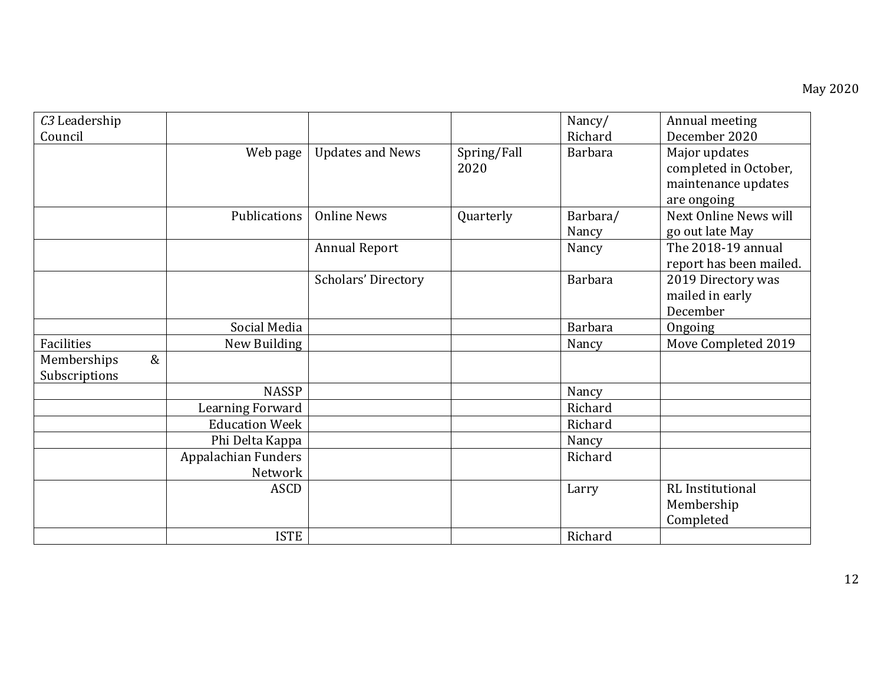| C <sub>3</sub> Leadership |                       |                         |             | Nancy/         | Annual meeting          |
|---------------------------|-----------------------|-------------------------|-------------|----------------|-------------------------|
| Council                   |                       |                         |             | Richard        | December 2020           |
|                           | Web page              | <b>Updates and News</b> | Spring/Fall | <b>Barbara</b> | Major updates           |
|                           |                       |                         | 2020        |                | completed in October,   |
|                           |                       |                         |             |                | maintenance updates     |
|                           |                       |                         |             |                | are ongoing             |
|                           | Publications          | <b>Online News</b>      | Quarterly   | Barbara/       | Next Online News will   |
|                           |                       |                         |             | Nancy          | go out late May         |
|                           |                       | <b>Annual Report</b>    |             | Nancy          | The 2018-19 annual      |
|                           |                       |                         |             |                | report has been mailed. |
|                           |                       | Scholars' Directory     |             | <b>Barbara</b> | 2019 Directory was      |
|                           |                       |                         |             |                | mailed in early         |
|                           |                       |                         |             |                | December                |
|                           | Social Media          |                         |             | <b>Barbara</b> | Ongoing                 |
| Facilities                | New Building          |                         |             | Nancy          | Move Completed 2019     |
| $\&$<br>Memberships       |                       |                         |             |                |                         |
| Subscriptions             |                       |                         |             |                |                         |
|                           | <b>NASSP</b>          |                         |             | Nancy          |                         |
|                           | Learning Forward      |                         |             | Richard        |                         |
|                           | <b>Education Week</b> |                         |             | Richard        |                         |
|                           | Phi Delta Kappa       |                         |             | Nancy          |                         |
|                           | Appalachian Funders   |                         |             | Richard        |                         |
|                           | Network               |                         |             |                |                         |
|                           | ASCD                  |                         |             | Larry          | <b>RL</b> Institutional |
|                           |                       |                         |             |                | Membership              |
|                           |                       |                         |             |                | Completed               |
|                           | <b>ISTE</b>           |                         |             | Richard        |                         |